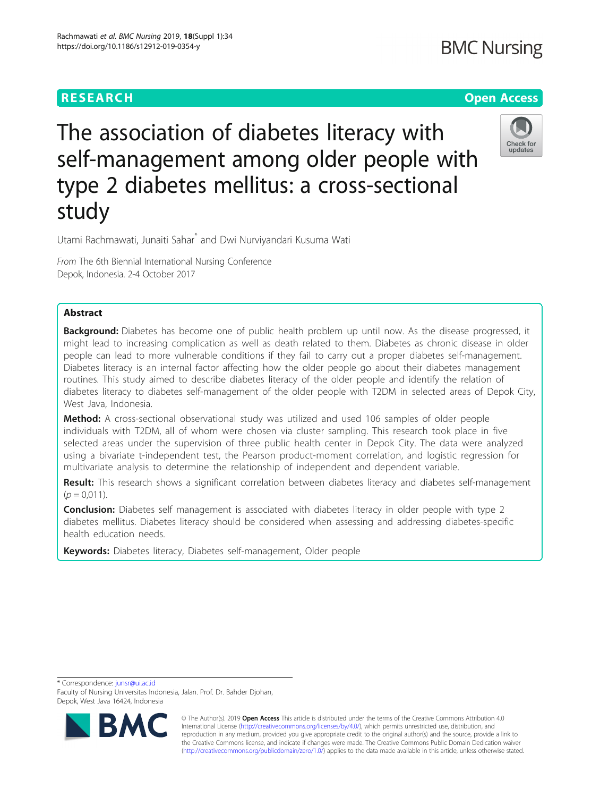## **RESEARCH CHEAR CHEAR CHEAR CHEAR CHEAR CHEAR CHEAR CHEAR CHEAP CHEAP CHEAP CHEAP CHEAP CHEAP CHEAP CHEAP CHEAP**

# **BMC Nursing**

# Check for updates

The association of diabetes literacy with self-management among older people with type 2 diabetes mellitus: a cross-sectional study

Utami Rachmawati, Junaiti Sahar\* and Dwi Nurviyandari Kusuma Wati

From The 6th Biennial International Nursing Conference Depok, Indonesia. 2-4 October 2017

### Abstract

**Background:** Diabetes has become one of public health problem up until now. As the disease progressed, it might lead to increasing complication as well as death related to them. Diabetes as chronic disease in older people can lead to more vulnerable conditions if they fail to carry out a proper diabetes self-management. Diabetes literacy is an internal factor affecting how the older people go about their diabetes management routines. This study aimed to describe diabetes literacy of the older people and identify the relation of diabetes literacy to diabetes self-management of the older people with T2DM in selected areas of Depok City, West Java, Indonesia.

Method: A cross-sectional observational study was utilized and used 106 samples of older people individuals with T2DM, all of whom were chosen via cluster sampling. This research took place in five selected areas under the supervision of three public health center in Depok City. The data were analyzed using a bivariate t-independent test, the Pearson product-moment correlation, and logistic regression for multivariate analysis to determine the relationship of independent and dependent variable.

Result: This research shows a significant correlation between diabetes literacy and diabetes self-management  $(p = 0.011)$ .

**Conclusion:** Diabetes self management is associated with diabetes literacy in older people with type 2 diabetes mellitus. Diabetes literacy should be considered when assessing and addressing diabetes-specific health education needs.

Keywords: Diabetes literacy, Diabetes self-management, Older people

\* Correspondence: [junsr@ui.ac.id](mailto:junsr@ui.ac.id)

Faculty of Nursing Universitas Indonesia, Jalan. Prof. Dr. Bahder Djohan, Depok, West Java 16424, Indonesia



© The Author(s). 2019 **Open Access** This article is distributed under the terms of the Creative Commons Attribution 4.0 International License [\(http://creativecommons.org/licenses/by/4.0/](http://creativecommons.org/licenses/by/4.0/)), which permits unrestricted use, distribution, and reproduction in any medium, provided you give appropriate credit to the original author(s) and the source, provide a link to the Creative Commons license, and indicate if changes were made. The Creative Commons Public Domain Dedication waiver [\(http://creativecommons.org/publicdomain/zero/1.0/](http://creativecommons.org/publicdomain/zero/1.0/)) applies to the data made available in this article, unless otherwise stated.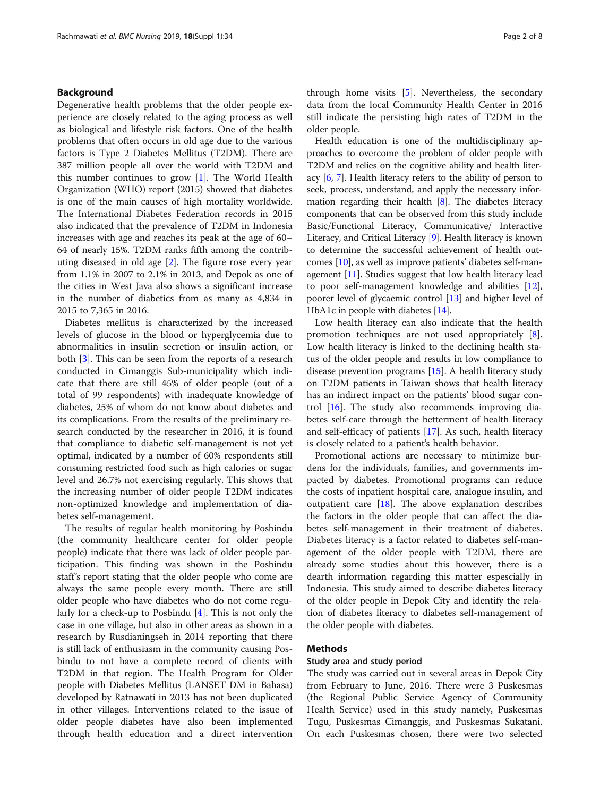#### Background

Degenerative health problems that the older people experience are closely related to the aging process as well as biological and lifestyle risk factors. One of the health problems that often occurs in old age due to the various factors is Type 2 Diabetes Mellitus (T2DM). There are 387 million people all over the world with T2DM and this number continues to grow [\[1\]](#page-6-0). The World Health Organization (WHO) report (2015) showed that diabetes is one of the main causes of high mortality worldwide. The International Diabetes Federation records in 2015 also indicated that the prevalence of T2DM in Indonesia increases with age and reaches its peak at the age of 60– 64 of nearly 15%. T2DM ranks fifth among the contributing diseased in old age [\[2](#page-6-0)]. The figure rose every year from 1.1% in 2007 to 2.1% in 2013, and Depok as one of the cities in West Java also shows a significant increase in the number of diabetics from as many as 4,834 in 2015 to 7,365 in 2016.

Diabetes mellitus is characterized by the increased levels of glucose in the blood or hyperglycemia due to abnormalities in insulin secretion or insulin action, or both [[3\]](#page-6-0). This can be seen from the reports of a research conducted in Cimanggis Sub-municipality which indicate that there are still 45% of older people (out of a total of 99 respondents) with inadequate knowledge of diabetes, 25% of whom do not know about diabetes and its complications. From the results of the preliminary research conducted by the researcher in 2016, it is found that compliance to diabetic self-management is not yet optimal, indicated by a number of 60% respondents still consuming restricted food such as high calories or sugar level and 26.7% not exercising regularly. This shows that the increasing number of older people T2DM indicates non-optimized knowledge and implementation of diabetes self-management.

The results of regular health monitoring by Posbindu (the community healthcare center for older people people) indicate that there was lack of older people participation. This finding was shown in the Posbindu staff's report stating that the older people who come are always the same people every month. There are still older people who have diabetes who do not come regularly for a check-up to Posbindu [\[4](#page-6-0)]. This is not only the case in one village, but also in other areas as shown in a research by Rusdianingseh in 2014 reporting that there is still lack of enthusiasm in the community causing Posbindu to not have a complete record of clients with T2DM in that region. The Health Program for Older people with Diabetes Mellitus (LANSET DM in Bahasa) developed by Ratnawati in 2013 has not been duplicated in other villages. Interventions related to the issue of older people diabetes have also been implemented through health education and a direct intervention through home visits [\[5](#page-6-0)]. Nevertheless, the secondary data from the local Community Health Center in 2016 still indicate the persisting high rates of T2DM in the older people.

Health education is one of the multidisciplinary approaches to overcome the problem of older people with T2DM and relies on the cognitive ability and health literacy  $[6, 7]$  $[6, 7]$  $[6, 7]$  $[6, 7]$ . Health literacy refers to the ability of person to seek, process, understand, and apply the necessary information regarding their health [[8\]](#page-6-0). The diabetes literacy components that can be observed from this study include Basic/Functional Literacy, Communicative/ Interactive Literacy, and Critical Literacy [\[9](#page-6-0)]. Health literacy is known to determine the successful achievement of health outcomes [[10\]](#page-6-0), as well as improve patients' diabetes self-management [[11\]](#page-6-0). Studies suggest that low health literacy lead to poor self-management knowledge and abilities [[12](#page-6-0)], poorer level of glycaemic control [[13](#page-6-0)] and higher level of HbA1c in people with diabetes [[14](#page-6-0)].

Low health literacy can also indicate that the health promotion techniques are not used appropriately [\[8](#page-6-0)]. Low health literacy is linked to the declining health status of the older people and results in low compliance to disease prevention programs [\[15\]](#page-6-0). A health literacy study on T2DM patients in Taiwan shows that health literacy has an indirect impact on the patients' blood sugar control [[16](#page-6-0)]. The study also recommends improving diabetes self-care through the betterment of health literacy and self-efficacy of patients [[17\]](#page-6-0). As such, health literacy is closely related to a patient's health behavior.

Promotional actions are necessary to minimize burdens for the individuals, families, and governments impacted by diabetes. Promotional programs can reduce the costs of inpatient hospital care, analogue insulin, and outpatient care  $[18]$  $[18]$ . The above explanation describes the factors in the older people that can affect the diabetes self-management in their treatment of diabetes. Diabetes literacy is a factor related to diabetes self-management of the older people with T2DM, there are already some studies about this however, there is a dearth information regarding this matter espescially in Indonesia. This study aimed to describe diabetes literacy of the older people in Depok City and identify the relation of diabetes literacy to diabetes self-management of the older people with diabetes.

#### Methods

#### Study area and study period

The study was carried out in several areas in Depok City from February to June, 2016. There were 3 Puskesmas (the Regional Public Service Agency of Community Health Service) used in this study namely, Puskesmas Tugu, Puskesmas Cimanggis, and Puskesmas Sukatani. On each Puskesmas chosen, there were two selected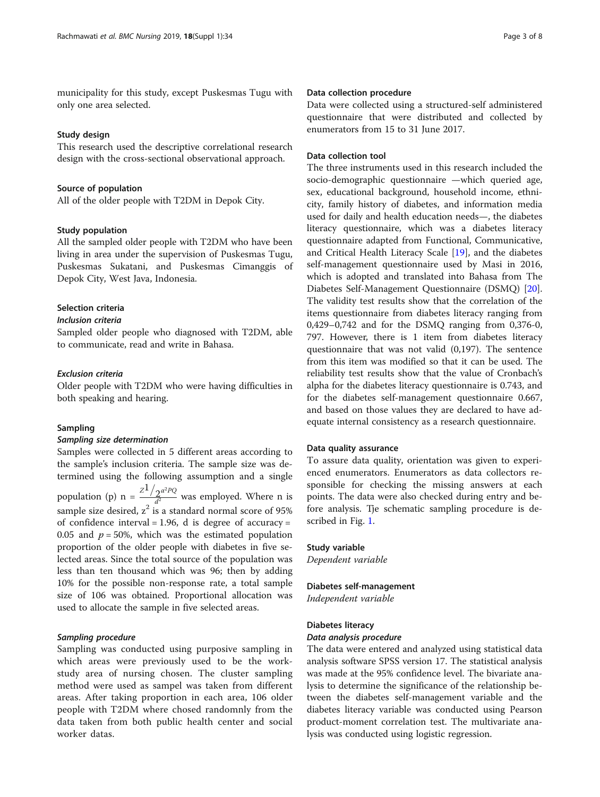municipality for this study, except Puskesmas Tugu with only one area selected.

#### Study design

This research used the descriptive correlational research design with the cross-sectional observational approach.

#### Source of population

All of the older people with T2DM in Depok City.

#### Study population

All the sampled older people with T2DM who have been living in area under the supervision of Puskesmas Tugu, Puskesmas Sukatani, and Puskesmas Cimanggis of Depok City, West Java, Indonesia.

#### Selection criteria

#### Inclusion criteria

Sampled older people who diagnosed with T2DM, able to communicate, read and write in Bahasa.

#### Exclusion criteria

Older people with T2DM who were having difficulties in both speaking and hearing.

#### Sampling

#### Sampling size determination

Samples were collected in 5 different areas according to the sample's inclusion criteria. The sample size was determined using the following assumption and a single population (p)  $n = \frac{z^{\frac{1}{2}}}{d^2}$  was employed. Where n is sample size desired,  $z^2$  is a standard normal score of 95% of confidence interval  $= 1.96$ , d is degree of accuracy  $=$ 0.05 and  $p = 50\%$ , which was the estimated population proportion of the older people with diabetes in five selected areas. Since the total source of the population was less than ten thousand which was 96; then by adding 10% for the possible non-response rate, a total sample size of 106 was obtained. Proportional allocation was used to allocate the sample in five selected areas.

### Sampling procedure

Sampling was conducted using purposive sampling in which areas were previously used to be the workstudy area of nursing chosen. The cluster sampling method were used as sampel was taken from different areas. After taking proportion in each area, 106 older people with T2DM where chosed randomnly from the data taken from both public health center and social worker datas.

#### Data collection procedure

Data were collected using a structured-self administered questionnaire that were distributed and collected by enumerators from 15 to 31 June 2017.

#### Data collection tool

The three instruments used in this research included the socio-demographic questionnaire —which queried age, sex, educational background, household income, ethnicity, family history of diabetes, and information media used for daily and health education needs—, the diabetes literacy questionnaire, which was a diabetes literacy questionnaire adapted from Functional, Communicative, and Critical Health Literacy Scale [[19](#page-6-0)], and the diabetes self-management questionnaire used by Masi in 2016, which is adopted and translated into Bahasa from The Diabetes Self-Management Questionnaire (DSMQ) [\[20](#page-6-0)]. The validity test results show that the correlation of the items questionnaire from diabetes literacy ranging from 0,429–0,742 and for the DSMQ ranging from 0,376-0, 797. However, there is 1 item from diabetes literacy questionnaire that was not valid (0,197). The sentence from this item was modified so that it can be used. The reliability test results show that the value of Cronbach's alpha for the diabetes literacy questionnaire is 0.743, and for the diabetes self-management questionnaire 0.667, and based on those values they are declared to have adequate internal consistency as a research questionnaire.

#### Data quality assurance

To assure data quality, orientation was given to experienced enumerators. Enumerators as data collectors responsible for checking the missing answers at each points. The data were also checked during entry and before analysis. Tje schematic sampling procedure is described in Fig. [1](#page-3-0).

#### Study variable

Dependent variable

#### Diabetes self-management Independent variable

### Diabetes literacy

#### Data analysis procedure

The data were entered and analyzed using statistical data analysis software SPSS version 17. The statistical analysis was made at the 95% confidence level. The bivariate analysis to determine the significance of the relationship between the diabetes self-management variable and the diabetes literacy variable was conducted using Pearson product-moment correlation test. The multivariate analysis was conducted using logistic regression.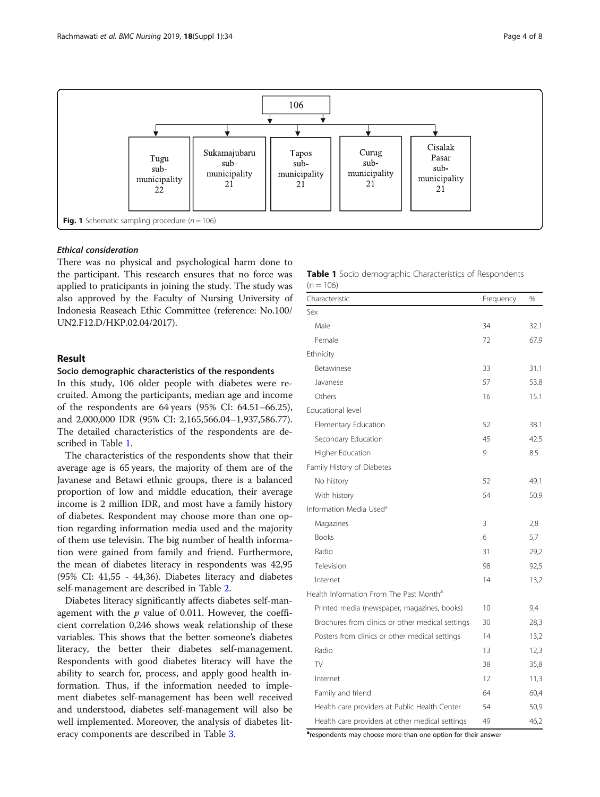<span id="page-3-0"></span>

#### Ethical consideration

There was no physical and psychological harm done to the participant. This research ensures that no force was applied to praticipants in joining the study. The study was also approved by the Faculty of Nursing University of Indonesia Reaseach Ethic Committee (reference: No.100/ UN2.F12.D/HKP.02.04/2017).

#### Result

#### Socio demographic characteristics of the respondents

In this study, 106 older people with diabetes were recruited. Among the participants, median age and income of the respondents are 64 years (95% CI: 64.51–66.25), and 2,000,000 IDR (95% CI: 2,165,566.04–1,937,586.77). The detailed characteristics of the respondents are described in Table 1.

The characteristics of the respondents show that their average age is 65 years, the majority of them are of the Javanese and Betawi ethnic groups, there is a balanced proportion of low and middle education, their average income is 2 million IDR, and most have a family history of diabetes. Respondent may choose more than one option regarding information media used and the majority of them use televisin. The big number of health information were gained from family and friend. Furthermore, the mean of diabetes literacy in respondents was 42,95 (95% CI: 41,55 - 44,36). Diabetes literacy and diabetes self-management are described in Table [2](#page-4-0).

Diabetes literacy significantly affects diabetes self-management with the  $p$  value of 0.011. However, the coefficient correlation 0,246 shows weak relationship of these variables. This shows that the better someone's diabetes literacy, the better their diabetes self-management. Respondents with good diabetes literacy will have the ability to search for, process, and apply good health information. Thus, if the information needed to implement diabetes self-management has been well received and understood, diabetes self-management will also be well implemented. Moreover, the analysis of diabetes literacy components are described in Table [3](#page-4-0).

|             |  | <b>Table 1</b> Socio demographic Characteristics of Respondents |
|-------------|--|-----------------------------------------------------------------|
| $(n = 106)$ |  |                                                                 |

| Characteristic                                      | Frequency | %    |
|-----------------------------------------------------|-----------|------|
| Sex                                                 |           |      |
| Male                                                | 34        | 32.1 |
| Female                                              | 72        | 67.9 |
| Ethnicity                                           |           |      |
| Betawinese                                          | 33        | 31.1 |
| Javanese                                            | 57        | 53.8 |
| Others                                              | 16        | 15.1 |
| Educational level                                   |           |      |
| Elementary Education                                | 52        | 38.1 |
| Secondary Education                                 | 45        | 42.5 |
| Higher Education                                    | 9         | 8.5  |
| Family History of Diabetes                          |           |      |
| No history                                          | 52        | 49.1 |
| With history                                        | 54        | 50.9 |
| Information Media Used <sup>a</sup>                 |           |      |
| Magazines                                           | 3         | 2,8  |
| <b>Books</b>                                        | 6         | 5,7  |
| Radio                                               | 31        | 29,2 |
| Television                                          | 98        | 92,5 |
| Internet                                            | 14        | 13,2 |
| Health Information From The Past Month <sup>a</sup> |           |      |
| Printed media (newspaper, magazines, books)         | 10        | 9,4  |
| Brochures from clinics or other medical settings    | 30        | 28,3 |
| Posters from clinics or other medical settings      | 14        | 13,2 |
| Radio                                               | 13        | 12,3 |
| TV                                                  | 38        | 35,8 |
| Internet                                            | 12        | 11,3 |
| Family and friend                                   | 64        | 60,4 |
| Health care providers at Public Health Center       | 54        | 50,9 |
| Health care providers at other medical settings     | 49        | 46,2 |

arespondents may choose more than one option for their answer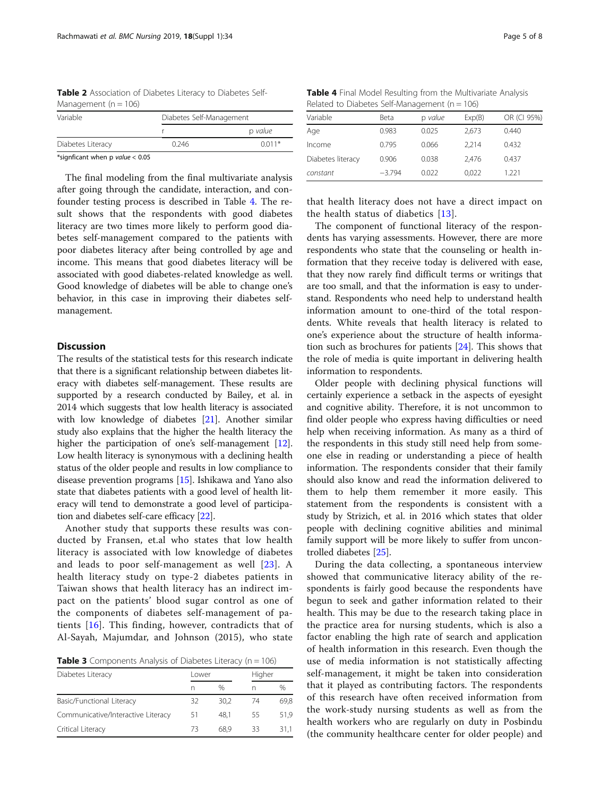<span id="page-4-0"></span>Table 2 Association of Diabetes Literacy to Diabetes Self-Management ( $n = 106$ )

| Variable                 | Diabetes Self-Management |          |  |
|--------------------------|--------------------------|----------|--|
|                          |                          | p value  |  |
| Diabetes Literacy        | 0.246                    | $0.011*$ |  |
| $\cdots$ $\sim$ $\cdots$ |                          |          |  |

\*signficant when p value < 0.05

The final modeling from the final multivariate analysis after going through the candidate, interaction, and confounder testing process is described in Table 4. The result shows that the respondents with good diabetes literacy are two times more likely to perform good diabetes self-management compared to the patients with poor diabetes literacy after being controlled by age and income. This means that good diabetes literacy will be associated with good diabetes-related knowledge as well. Good knowledge of diabetes will be able to change one's behavior, in this case in improving their diabetes selfmanagement.

#### **Discussion**

The results of the statistical tests for this research indicate that there is a significant relationship between diabetes literacy with diabetes self-management. These results are supported by a research conducted by Bailey, et al. in 2014 which suggests that low health literacy is associated with low knowledge of diabetes [[21](#page-6-0)]. Another similar study also explains that the higher the health literacy the higher the participation of one's self-management [[12](#page-6-0)]. Low health literacy is synonymous with a declining health status of the older people and results in low compliance to disease prevention programs [\[15\]](#page-6-0). Ishikawa and Yano also state that diabetes patients with a good level of health literacy will tend to demonstrate a good level of participation and diabetes self-care efficacy [[22](#page-6-0)].

Another study that supports these results was conducted by Fransen, et.al who states that low health literacy is associated with low knowledge of diabetes and leads to poor self-management as well [\[23](#page-6-0)]. A health literacy study on type-2 diabetes patients in Taiwan shows that health literacy has an indirect impact on the patients' blood sugar control as one of the components of diabetes self-management of patients [[16](#page-6-0)]. This finding, however, contradicts that of Al-Sayah, Majumdar, and Johnson (2015), who state

**Table 3** Components Analysis of Diabetes Literacy ( $n = 106$ )

| Diabetes Literacy                  | l ower |      |    | Higher |  |
|------------------------------------|--------|------|----|--------|--|
|                                    |        | $\%$ | n  | %      |  |
| Basic/Functional Literacy          | 32     | 30.2 | 74 | 69.8   |  |
| Communicative/Interactive Literacy | 51     | 48.1 | 55 | 51.9   |  |
| Critical Literacy                  | 73     | 68.9 | 33 | 31.1   |  |

Table 4 Final Model Resulting from the Multivariate Analysis Related to Diabetes Self-Management ( $n = 106$ )

| Variable          | Beta     | p value | Exp(B) | OR (CI 95%) |  |
|-------------------|----------|---------|--------|-------------|--|
| Age               | 0.983    | 0.025   | 2,673  | 0.440       |  |
| Income            | 0.795    | 0.066   | 2.214  | 0.432       |  |
| Diabetes literacy | 0.906    | 0.038   | 2,476  | 0.437       |  |
| constant          | $-3.794$ | 0.022   | 0,022  | 1.221       |  |

that health literacy does not have a direct impact on the health status of diabetics [[13](#page-6-0)].

The component of functional literacy of the respondents has varying assessments. However, there are more respondents who state that the counseling or health information that they receive today is delivered with ease, that they now rarely find difficult terms or writings that are too small, and that the information is easy to understand. Respondents who need help to understand health information amount to one-third of the total respondents. White reveals that health literacy is related to one's experience about the structure of health information such as brochures for patients [[24\]](#page-6-0). This shows that the role of media is quite important in delivering health information to respondents.

Older people with declining physical functions will certainly experience a setback in the aspects of eyesight and cognitive ability. Therefore, it is not uncommon to find older people who express having difficulties or need help when receiving information. As many as a third of the respondents in this study still need help from someone else in reading or understanding a piece of health information. The respondents consider that their family should also know and read the information delivered to them to help them remember it more easily. This statement from the respondents is consistent with a study by Strizich, et al. in 2016 which states that older people with declining cognitive abilities and minimal family support will be more likely to suffer from uncontrolled diabetes [\[25](#page-6-0)].

During the data collecting, a spontaneous interview showed that communicative literacy ability of the respondents is fairly good because the respondents have begun to seek and gather information related to their health. This may be due to the research taking place in the practice area for nursing students, which is also a factor enabling the high rate of search and application of health information in this research. Even though the use of media information is not statistically affecting self-management, it might be taken into consideration that it played as contributing factors. The respondents of this research have often received information from the work-study nursing students as well as from the health workers who are regularly on duty in Posbindu (the community healthcare center for older people) and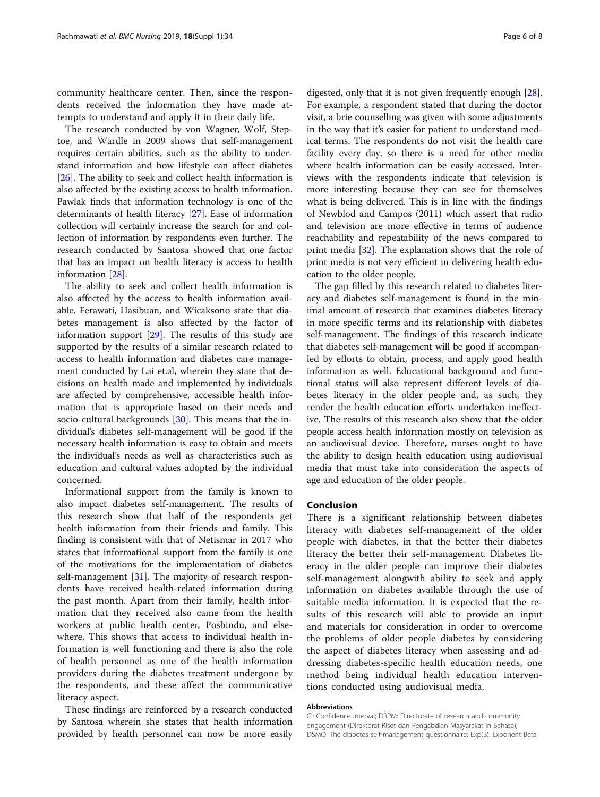community healthcare center. Then, since the respondents received the information they have made attempts to understand and apply it in their daily life.

The research conducted by von Wagner, Wolf, Steptoe, and Wardle in 2009 shows that self-management requires certain abilities, such as the ability to understand information and how lifestyle can affect diabetes [[26\]](#page-6-0). The ability to seek and collect health information is also affected by the existing access to health information. Pawlak finds that information technology is one of the determinants of health literacy [\[27](#page-6-0)]. Ease of information collection will certainly increase the search for and collection of information by respondents even further. The research conducted by Santosa showed that one factor that has an impact on health literacy is access to health information [\[28](#page-6-0)].

The ability to seek and collect health information is also affected by the access to health information available. Ferawati, Hasibuan, and Wicaksono state that diabetes management is also affected by the factor of information support [[29\]](#page-7-0). The results of this study are supported by the results of a similar research related to access to health information and diabetes care management conducted by Lai et.al, wherein they state that decisions on health made and implemented by individuals are affected by comprehensive, accessible health information that is appropriate based on their needs and socio-cultural backgrounds [\[30](#page-7-0)]. This means that the individual's diabetes self-management will be good if the necessary health information is easy to obtain and meets the individual's needs as well as characteristics such as education and cultural values adopted by the individual concerned.

Informational support from the family is known to also impact diabetes self-management. The results of this research show that half of the respondents get health information from their friends and family. This finding is consistent with that of Netismar in 2017 who states that informational support from the family is one of the motivations for the implementation of diabetes self-management [\[31](#page-7-0)]. The majority of research respondents have received health-related information during the past month. Apart from their family, health information that they received also came from the health workers at public health center, Posbindu, and elsewhere. This shows that access to individual health information is well functioning and there is also the role of health personnel as one of the health information providers during the diabetes treatment undergone by the respondents, and these affect the communicative literacy aspect.

These findings are reinforced by a research conducted by Santosa wherein she states that health information provided by health personnel can now be more easily

digested, only that it is not given frequently enough [\[28](#page-6-0)]. For example, a respondent stated that during the doctor visit, a brie counselling was given with some adjustments in the way that it's easier for patient to understand medical terms. The respondents do not visit the health care facility every day, so there is a need for other media where health information can be easily accessed. Interviews with the respondents indicate that television is more interesting because they can see for themselves what is being delivered. This is in line with the findings of Newblod and Campos (2011) which assert that radio and television are more effective in terms of audience reachability and repeatability of the news compared to print media  $[32]$  $[32]$ . The explanation shows that the role of print media is not very efficient in delivering health education to the older people.

The gap filled by this research related to diabetes literacy and diabetes self-management is found in the minimal amount of research that examines diabetes literacy in more specific terms and its relationship with diabetes self-management. The findings of this research indicate that diabetes self-management will be good if accompanied by efforts to obtain, process, and apply good health information as well. Educational background and functional status will also represent different levels of diabetes literacy in the older people and, as such, they render the health education efforts undertaken ineffective. The results of this research also show that the older people access health information mostly on television as an audiovisual device. Therefore, nurses ought to have the ability to design health education using audiovisual media that must take into consideration the aspects of age and education of the older people.

#### Conclusion

There is a significant relationship between diabetes literacy with diabetes self-management of the older people with diabetes, in that the better their diabetes literacy the better their self-management. Diabetes literacy in the older people can improve their diabetes self-management alongwith ability to seek and apply information on diabetes available through the use of suitable media information. It is expected that the results of this research will able to provide an input and materials for consideration in order to overcome the problems of older people diabetes by considering the aspect of diabetes literacy when assessing and addressing diabetes-specific health education needs, one method being individual health education interventions conducted using audiovisual media.

#### Abbreviations

CI: Confidence interval; DRPM: Directorate of research and community engagement (Direktorat Riset dan Pengabdian Masyarakat in Bahasa); DSMQ: The diabetes self-management questionnaire; Exp(B): Exponent Beta;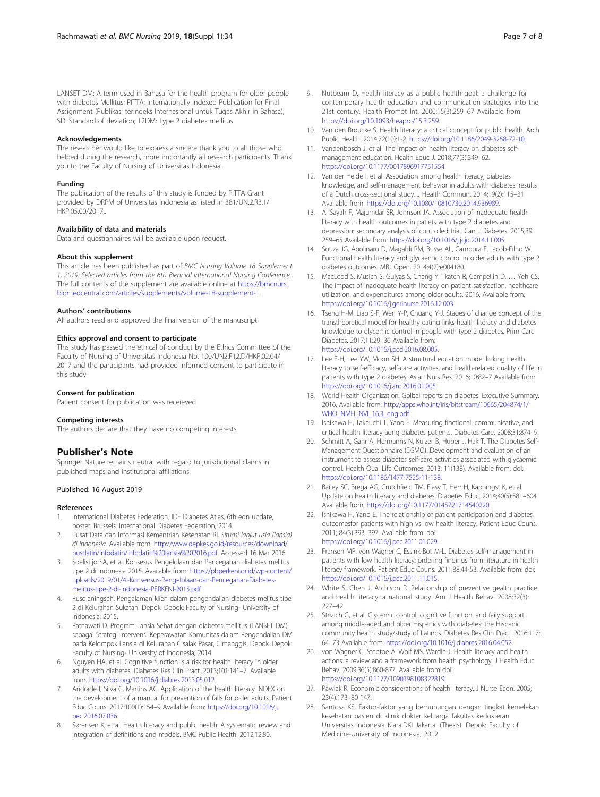<span id="page-6-0"></span>LANSET DM: A term used in Bahasa for the health program for older people with diabetes Mellitus; PITTA: Internationally Indexed Publication for Final Assignment (Publikasi terindeks Internasional untuk Tugas Akhir in Bahasa); SD: Standard of deviation; T2DM: Type 2 diabetes mellitus

#### Acknowledgements

The researcher would like to express a sincere thank you to all those who helped during the research, more importantly all research participants. Thank you to the Faculty of Nursing of Universitas Indonesia.

#### Funding

The publication of the results of this study is funded by PITTA Grant provided by DRPM of Universitas Indonesia as listed in 381/UN.2.R3.1/ HKP.05.00/2017..

#### Availability of data and materials

Data and questionnaires will be available upon request.

#### About this supplement

This article has been published as part of BMC Nursing Volume 18 Supplement 1, 2019: Selected articles from the 6th Biennial International Nursing Conference. The full contents of the supplement are available online at [https://bmcnurs.](https://bmcnurs.biomedcentral.com/articles/supplements/volume-18-supplement-1) [biomedcentral.com/articles/supplements/volume-18-supplement-1.](https://bmcnurs.biomedcentral.com/articles/supplements/volume-18-supplement-1)

#### Authors' contributions

All authors read and approved the final version of the manuscript.

#### Ethics approval and consent to participate

This study has passed the ethical of conduct by the Ethics Committee of the Faculty of Nursing of Universitas Indonesia No. 100/UN2.F12.D/HKP.02.04/ 2017 and the participants had provided informed consent to participate in this study

#### Consent for publication

Patient consent for publication was receieved

#### Competing interests

The authors declare that they have no competing interests.

#### Publisher's Note

Springer Nature remains neutral with regard to jurisdictional claims in published maps and institutional affiliations.

#### Published: 16 August 2019

#### References

- 1. International Diabetes Federation. IDF Diabetes Atlas, 6th edn update, poster. Brussels: International Diabetes Federation; 2014.
- 2. Pusat Data dan Informasi Kementrian Kesehatan RI. Situasi lanjut usia (lansia) di Indonesia. Available from: [http://www.depkes.go.id/resources/download/](http://www.depkes.go.id/resources/download/pusdatin/infodatin/infodatin%20lansia%202016.pdf) [pusdatin/infodatin/infodatin%20lansia%202016.pdf](http://www.depkes.go.id/resources/download/pusdatin/infodatin/infodatin%20lansia%202016.pdf). Accessed 16 Mar 2016
- 3. Soelistijo SA, et al. Konsesus Pengelolaan dan Pencegahan diabetes melitus tipe 2 di Indonesia 2015. Available from: [https://pbperkeni.or.id/wp-content/](https://pbperkeni.or.id/wp-content/uploads/2019/01/4.-Konsensus-Pengelolaan-dan-Pencegahan-Diabetes-melitus-tipe-2-di-Indonesia-PERKENI-2015.pdf) [uploads/2019/01/4.-Konsensus-Pengelolaan-dan-Pencegahan-Diabetes](https://pbperkeni.or.id/wp-content/uploads/2019/01/4.-Konsensus-Pengelolaan-dan-Pencegahan-Diabetes-melitus-tipe-2-di-Indonesia-PERKENI-2015.pdf)[melitus-tipe-2-di-Indonesia-PERKENI-2015.pdf](https://pbperkeni.or.id/wp-content/uploads/2019/01/4.-Konsensus-Pengelolaan-dan-Pencegahan-Diabetes-melitus-tipe-2-di-Indonesia-PERKENI-2015.pdf)
- 4. Rusdianingseh. Pengalaman klien dalam pengendalian diabetes melitus tipe 2 di Kelurahan Sukatani Depok. Depok: Faculty of Nursing- University of Indonesia; 2015.
- 5. Ratnawati D. Program Lansia Sehat dengan diabetes mellitus (LANSET DM) sebagai Strategi Intervensi Keperawatan Komunitas dalam Pengendalian DM pada Kelompok Lansia di Kelurahan Cisalak Pasar, Cimanggis, Depok. Depok: Faculty of Nursing- University of Indonesia; 2014.
- 6. Nguyen HA, et al. Cognitive function is a risk for health literacy in older adults with diabetes. Diabetes Res Clin Pract. 2013;101:141–7. Available from. <https://doi.org/10.1016/j.diabres.2013.05.012>.
- Andrade I, Silva C, Martins AC. Application of the health literacy INDEX on the development of a manual for prevention of falls for older adults. Patient Educ Couns. 2017;100(1):154–9 Available from: [https://doi.org/10.1016/j.](https://doi.org/10.1016/j.pec.2016.07.036) [pec.2016.07.036](https://doi.org/10.1016/j.pec.2016.07.036).
- Sørensen K, et al. Health literacy and public health: A systematic review and integration of definitions and models. BMC Public Health. 2012;12:80.
- 9. Nutbeam D. Health literacy as a public health goal: a challenge for contemporary health education and communication strategies into the 21st century. Health Promot Int. 2000;15(3):259–67 Available from: [https://doi.org/10.1093/heapro/15.3.259.](https://doi.org/10.1093/heapro/15.3.259)
- 10. Van den Broucke S. Health literacy: a critical concept for public health. Arch Public Health. 2014;72(10):1-2. [https://doi.org/10.1186/2049-3258-72-10.](https://doi.org/10.1186/2049-3258-72-10)
- 11. Vandenbosch J, et al. The impact oh health literacy on diabetes selfmanagement education. Health Educ J. 2018;77(3):349–62. [https://doi.org/10.1177/0017896917751554.](https://doi.org/10.1177/0017896917751554)
- 12. Van der Heide I, et al. Association among health literacy, diabetes knowledge, and self-management behavior in adults with diabetes: results of a Dutch cross-sectional study. J Health Commun. 2014;19(2):115–31 Available from: <https://doi.org/10.1080/10810730.2014.936989>.
- 13. Al Sayah F, Majumdar SR, Johnson JA. Association of inadequate health literacy with health outcomes in patiets with type 2 diabetes and depression: secondary analysis of controlled trial. Can J Diabetes. 2015;39: 259–65 Available from: [https://doi.org/10.1016/j.jcjd.2014.11.005.](https://doi.org/10.1016/j.jcjd.2014.11.005)
- 14. Souza JG, Apolinaro D, Magaldi RM, Busse AL, Campora F, Jacob-Filho W. Functional health literacy and glycaemic control in older adults with type 2 diabetes outcomes. MBJ Open. 2014;4(2):e004180.
- 15. MacLeod S, Musich S, Gulyas S, Cheng Y, Tkatch R, Cempellin D, … Yeh CS. The impact of inadequate health literacy on patient satisfaction, healthcare utilization, and expenditures among older adults. 2016. Available from: <https://doi.org/10.1016/j.gerinurse.2016.12.003>.
- 16. Tseng H-M, Liao S-F, Wen Y-P, Chuang Y-J. Stages of change concept of the transtheoretical model for healthy eating links health literacy and diabetes knowledge to glycemic control in people with type 2 diabetes. Prim Care Diabetes. 2017;11:29–36 Available from: [https://doi.org/10.1016/j.pcd.2016.08.005.](https://doi.org/10.1016/j.pcd.2016.08.005)
- 17. Lee E-H, Lee YW, Moon SH. A structural equation model linking health literacy to self-efficacy, self-care activities, and health-related quality of life in patients with type 2 diabetes. Asian Nurs Res. 2016;10:82–7 Available from [https://doi.org/10.1016/j.anr.2016.01.005.](https://doi.org/10.1016/j.anr.2016.01.005)
- 18. World Health Organization. Golbal reports on diabetes: Executive Summary. 2016. Available from: [http://apps.who.int/iris/bitstream/10665/204874/1/](http://apps.who.int/iris/bitstream/10665/204874/1/WHO_NMH_NVI_16.3_eng.pdf) [WHO\\_NMH\\_NVI\\_16.3\\_eng.pdf](http://apps.who.int/iris/bitstream/10665/204874/1/WHO_NMH_NVI_16.3_eng.pdf)
- 19. Ishikawa H, Takeuchi T, Yano E. Measuring finctional, communicative, and critical health literacy aong diabetes patients. Diabetes Care. 2008;31:874–9.
- 20. Schmitt A, Gahr A, Hermanns N, Kulzer B, Huber J, Hak T. The Diabetes Self-Management Questionnaire (DSMQ): Development and evaluation of an instrument to assess diabetes self-care activities associated with glycaemic control. Health Qual Life Outcomes. 2013; 11(138). Available from: doi: [https://doi.org/10.1186/1477-7525-11-138.](https://doi.org/10.1186/1477-7525-11-138)
- 21. Bailey SC, Brega AG, Crutchfield TM, Elasy T, Herr H, Kaphingst K, et al. Update on health literacy and diabetes. Diabetes Educ. 2014;40(5):581–604 Available from: [https://doi.org/10.1177/0145721714540220.](https://doi.org/10.1177/0145721714540220)
- 22. Ishikawa H, Yano E. The relationship of patient participation and diabetes outcomesfor patients with high vs low health literacy. Patient Educ Couns. 2011; 84(3):393–397. Available from: doi: <https://doi.org/10.1016/j.pec.2011.01.029>.
- 23. Fransen MP, von Wagner C, Essink-Bot M-L. Diabetes self-management in patients with low health literacy: ordering findings from literature in health literacy framework. Patient Educ Couns. 2011;88:44-53. Available from: doi: <https://doi.org/10.1016/j.pec.2011.11.015>.
- 24. White S, Chen J, Atchison R. Relationship of preventive gealth practice and health literacy: a national study. Am J Health Behav. 2008;32(3): 227–42.
- 25. Strizich G, et al. Glycemic control, cognitive function, and faily support among middle-aged and older Hispanics with diabetes: the Hispanic community health study/study of Latinos. Diabetes Res Clin Pract. 2016;117: 64–73 Available from: <https://doi.org/10.1016/j.diabres.2016.04.052>.
- 26. von Wagner C, Steptoe A, Wolf MS, Wardle J. Health literacy and health actions: a review and a framework from health psychology: J Health Educ Behav. 2009;36(5):860-877. Available from doi: [https://doi.org/10.1177/1090198108322819.](https://doi.org/10.1177/1090198108322819)
- 27. Pawlak R. Economic considerations of health literacy. J Nurse Econ. 2005; 23(4):173–80 147.
- 28. Santosa KS. Faktor-faktor yang berhubungan dengan tingkat kemelekan kesehatan pasien di klinik dokter keluarga fakultas kedokteran Universitas Indonesia Kiara,DKI Jakarta. (Thesis). Depok: Faculty of Medicine-University of Indonesia; 2012.